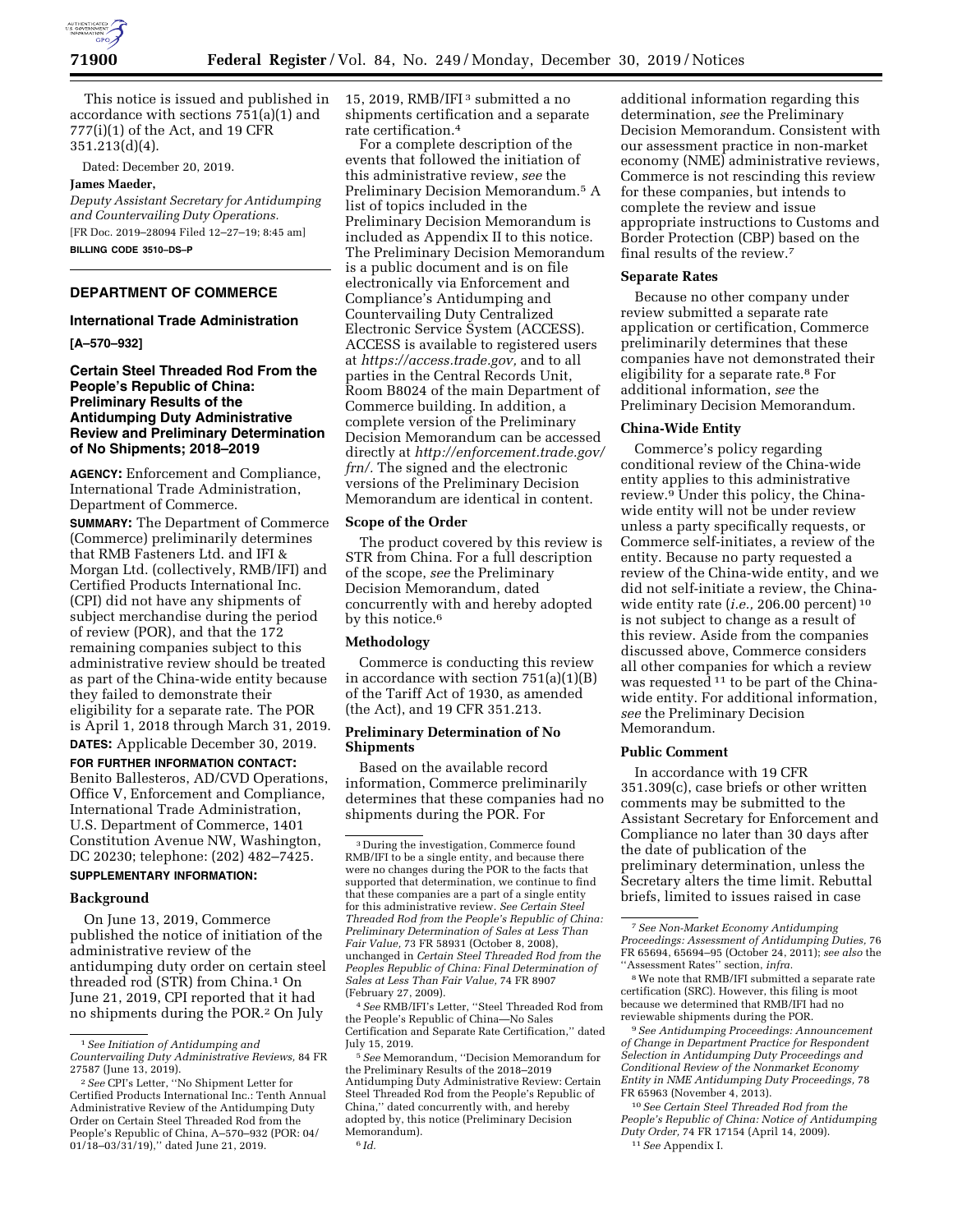

This notice is issued and published in accordance with sections 751(a)(1) and 777(i)(1) of the Act, and 19 CFR 351.213(d)(4).

Dated: December 20, 2019.

## **James Maeder,**

*Deputy Assistant Secretary for Antidumping and Countervailing Duty Operations.*  [FR Doc. 2019–28094 Filed 12–27–19; 8:45 am] **BILLING CODE 3510–DS–P** 

## **DEPARTMENT OF COMMERCE**

## **International Trade Administration**

**[A–570–932]** 

## **Certain Steel Threaded Rod From the People's Republic of China: Preliminary Results of the Antidumping Duty Administrative Review and Preliminary Determination of No Shipments; 2018–2019**

**AGENCY:** Enforcement and Compliance, International Trade Administration, Department of Commerce.

**SUMMARY:** The Department of Commerce (Commerce) preliminarily determines that RMB Fasteners Ltd. and IFI & Morgan Ltd. (collectively, RMB/IFI) and Certified Products International Inc. (CPI) did not have any shipments of subject merchandise during the period of review (POR), and that the 172 remaining companies subject to this administrative review should be treated as part of the China-wide entity because they failed to demonstrate their eligibility for a separate rate. The POR is April 1, 2018 through March 31, 2019.

**DATES:** Applicable December 30, 2019. **FOR FURTHER INFORMATION CONTACT:**  Benito Ballesteros, AD/CVD Operations, Office V, Enforcement and Compliance, International Trade Administration, U.S. Department of Commerce, 1401 Constitution Avenue NW, Washington, DC 20230; telephone: (202) 482–7425.

# **SUPPLEMENTARY INFORMATION:**

## **Background**

On June 13, 2019, Commerce published the notice of initiation of the administrative review of the antidumping duty order on certain steel threaded rod (STR) from China.1 On June 21, 2019, CPI reported that it had no shipments during the POR.2 On July

15, 2019, RMB/IFI 3 submitted a no shipments certification and a separate rate certification.4

For a complete description of the events that followed the initiation of this administrative review, *see* the Preliminary Decision Memorandum.5 A list of topics included in the Preliminary Decision Memorandum is included as Appendix II to this notice. The Preliminary Decision Memorandum is a public document and is on file electronically via Enforcement and Compliance's Antidumping and Countervailing Duty Centralized Electronic Service System (ACCESS). ACCESS is available to registered users at *[https://access.trade.gov,](https://access.trade.gov)* and to all parties in the Central Records Unit, Room B8024 of the main Department of Commerce building. In addition, a complete version of the Preliminary Decision Memorandum can be accessed directly at *[http://enforcement.trade.gov/](http://enforcement.trade.gov/frn/)  [frn/.](http://enforcement.trade.gov/frn/)* The signed and the electronic versions of the Preliminary Decision Memorandum are identical in content.

## **Scope of the Order**

The product covered by this review is STR from China. For a full description of the scope, *see* the Preliminary Decision Memorandum, dated concurrently with and hereby adopted by this notice.<sup>6</sup>

#### **Methodology**

Commerce is conducting this review in accordance with section  $751(a)(1)(B)$ of the Tariff Act of 1930, as amended (the Act), and 19 CFR 351.213.

## **Preliminary Determination of No Shipments**

Based on the available record information, Commerce preliminarily determines that these companies had no shipments during the POR. For

4*See* RMB/IFI's Letter, ''Steel Threaded Rod from the People's Republic of China—No Sales Certification and Separate Rate Certification,'' dated July 15, 2019.

additional information regarding this determination, *see* the Preliminary Decision Memorandum. Consistent with our assessment practice in non-market economy (NME) administrative reviews, Commerce is not rescinding this review for these companies, but intends to complete the review and issue appropriate instructions to Customs and Border Protection (CBP) based on the final results of the review.7

#### **Separate Rates**

Because no other company under review submitted a separate rate application or certification, Commerce preliminarily determines that these companies have not demonstrated their eligibility for a separate rate.8 For additional information, *see* the Preliminary Decision Memorandum.

## **China-Wide Entity**

Commerce's policy regarding conditional review of the China-wide entity applies to this administrative review.9 Under this policy, the Chinawide entity will not be under review unless a party specifically requests, or Commerce self-initiates, a review of the entity. Because no party requested a review of the China-wide entity, and we did not self-initiate a review, the Chinawide entity rate (*i.e.,* 206.00 percent) 10 is not subject to change as a result of this review. Aside from the companies discussed above, Commerce considers all other companies for which a review was requested <sup>11</sup> to be part of the Chinawide entity. For additional information, *see* the Preliminary Decision Memorandum.

## **Public Comment**

In accordance with 19 CFR 351.309(c), case briefs or other written comments may be submitted to the Assistant Secretary for Enforcement and Compliance no later than 30 days after the date of publication of the preliminary determination, unless the Secretary alters the time limit. Rebuttal briefs, limited to issues raised in case

9*See Antidumping Proceedings: Announcement of Change in Department Practice for Respondent Selection in Antidumping Duty Proceedings and Conditional Review of the Nonmarket Economy Entity in NME Antidumping Duty Proceedings,* 78 FR 65963 (November 4, 2013).

10*See Certain Steel Threaded Rod from the People's Republic of China: Notice of Antidumping Duty Order,* 74 FR 17154 (April 14, 2009). 11*See* Appendix I.

<sup>1</sup>*See Initiation of Antidumping and Countervailing Duty Administrative Reviews,* 84 FR 27587 (June 13, 2019).

<sup>2</sup>*See* CPI's Letter, ''No Shipment Letter for Certified Products International Inc.: Tenth Annual Administrative Review of the Antidumping Duty Order on Certain Steel Threaded Rod from the People's Republic of China, A–570–932 (POR: 04/  $01/\overline{18} - 03/\overline{31}/19$ ," dated June 21, 2019.

<sup>3</sup> During the investigation, Commerce found RMB/IFI to be a single entity, and because there were no changes during the POR to the facts that supported that determination, we continue to find that these companies are a part of a single entity for this administrative review. *See Certain Steel Threaded Rod from the People's Republic of China: Preliminary Determination of Sales at Less Than Fair Value,* 73 FR 58931 (October 8, 2008), unchanged in *Certain Steel Threaded Rod from the Peoples Republic of China: Final Determination of Sales at Less Than Fair Value,* 74 FR 8907 (February 27, 2009).

<sup>5</sup>*See* Memorandum, ''Decision Memorandum for the Preliminary Results of the 2018–2019 Antidumping Duty Administrative Review: Certain Steel Threaded Rod from the People's Republic of China,'' dated concurrently with, and hereby adopted by, this notice (Preliminary Decision Memorandum). 6 *Id.* 

<sup>7</sup>*See Non-Market Economy Antidumping Proceedings: Assessment of Antidumping Duties,* 76 FR 65694, 65694–95 (October 24, 2011); *see also* the ''Assessment Rates'' section, *infra.* 

<sup>8</sup>We note that RMB/IFI submitted a separate rate certification (SRC). However, this filing is moot because we determined that RMB/IFI had no reviewable shipments during the POR.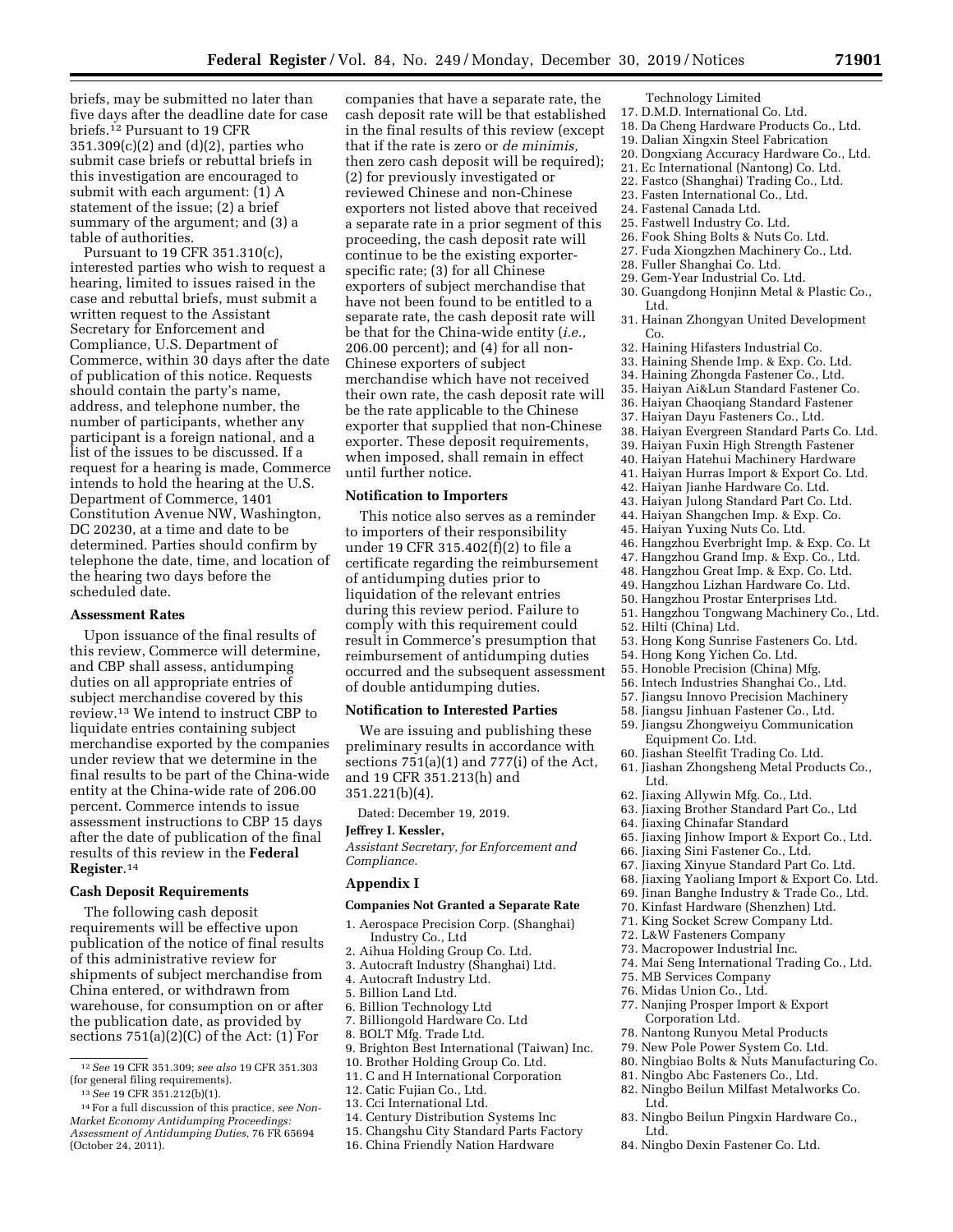briefs, may be submitted no later than five days after the deadline date for case briefs.12 Pursuant to 19 CFR 351.309(c)(2) and (d)(2), parties who submit case briefs or rebuttal briefs in this investigation are encouraged to submit with each argument: (1) A statement of the issue; (2) a brief summary of the argument; and (3) a table of authorities.

Pursuant to 19 CFR 351.310(c), interested parties who wish to request a hearing, limited to issues raised in the case and rebuttal briefs, must submit a written request to the Assistant Secretary for Enforcement and Compliance, U.S. Department of Commerce, within 30 days after the date of publication of this notice. Requests should contain the party's name, address, and telephone number, the number of participants, whether any participant is a foreign national, and a list of the issues to be discussed. If a request for a hearing is made, Commerce intends to hold the hearing at the U.S. Department of Commerce, 1401 Constitution Avenue NW, Washington, DC 20230, at a time and date to be determined. Parties should confirm by telephone the date, time, and location of the hearing two days before the scheduled date.

### **Assessment Rates**

Upon issuance of the final results of this review, Commerce will determine, and CBP shall assess, antidumping duties on all appropriate entries of subject merchandise covered by this review.13 We intend to instruct CBP to liquidate entries containing subject merchandise exported by the companies under review that we determine in the final results to be part of the China-wide entity at the China-wide rate of 206.00 percent. Commerce intends to issue assessment instructions to CBP 15 days after the date of publication of the final results of this review in the **Federal Register**.14

#### **Cash Deposit Requirements**

The following cash deposit requirements will be effective upon publication of the notice of final results of this administrative review for shipments of subject merchandise from China entered, or withdrawn from warehouse, for consumption on or after the publication date, as provided by sections  $751(a)(2)(C)$  of the Act:  $(1)$  For

companies that have a separate rate, the cash deposit rate will be that established in the final results of this review (except that if the rate is zero or *de minimis,*  then zero cash deposit will be required); (2) for previously investigated or reviewed Chinese and non-Chinese exporters not listed above that received a separate rate in a prior segment of this proceeding, the cash deposit rate will continue to be the existing exporterspecific rate; (3) for all Chinese exporters of subject merchandise that have not been found to be entitled to a separate rate, the cash deposit rate will be that for the China-wide entity (*i.e.,*  206.00 percent); and (4) for all non-Chinese exporters of subject merchandise which have not received their own rate, the cash deposit rate will be the rate applicable to the Chinese exporter that supplied that non-Chinese exporter. These deposit requirements, when imposed, shall remain in effect until further notice.

### **Notification to Importers**

This notice also serves as a reminder to importers of their responsibility under 19 CFR 315.402(f)(2) to file a certificate regarding the reimbursement of antidumping duties prior to liquidation of the relevant entries during this review period. Failure to comply with this requirement could result in Commerce's presumption that reimbursement of antidumping duties occurred and the subsequent assessment of double antidumping duties.

### **Notification to Interested Parties**

We are issuing and publishing these preliminary results in accordance with sections 751(a)(1) and 777(i) of the Act, and 19 CFR 351.213(h) and 351.221(b)(4).

Dated: December 19, 2019.

## **Jeffrey I. Kessler,**

*Assistant Secretary, for Enforcement and Compliance.* 

## **Appendix I**

### **Companies Not Granted a Separate Rate**

- 1. Aerospace Precision Corp. (Shanghai) Industry Co., Ltd
- 2. Aihua Holding Group Co. Ltd.
- 3. Autocraft Industry (Shanghai) Ltd.
- 4. Autocraft Industry Ltd.
- 5. Billion Land Ltd.
- 6. Billion Technology Ltd
- 7. Billiongold Hardware Co. Ltd
- 8. BOLT Mfg. Trade Ltd.
- 9. Brighton Best International (Taiwan) Inc.
- 10. Brother Holding Group Co. Ltd.
- 11. C and H International Corporation
- 12. Catic Fujian Co., Ltd.
- 13. Cci International Ltd.
- 14. Century Distribution Systems Inc
- 15. Changshu City Standard Parts Factory
- 16. China Friendly Nation Hardware

Technology Limited

- 17. D.M.D. International Co. Ltd.
- 18. Da Cheng Hardware Products Co., Ltd. 19. Dalian Xingxin Steel Fabrication
- 20. Dongxiang Accuracy Hardware Co., Ltd.
- 
- 21. Ec International (Nantong) Co. Ltd.
- 22. Fastco (Shanghai) Trading Co., Ltd. 23. Fasten International Co., Ltd.
- 24. Fastenal Canada Ltd.
- 
- 25. Fastwell Industry Co. Ltd.
- 26. Fook Shing Bolts & Nuts Co. Ltd.
- 27. Fuda Xiongzhen Machinery Co., Ltd.
- 28. Fuller Shanghai Co. Ltd.
- 29. Gem-Year Industrial Co. Ltd.
- 30. Guangdong Honjinn Metal & Plastic Co., Ltd.
- 31. Hainan Zhongyan United Development Co.
- 32. Haining Hifasters Industrial Co.
- 33. Haining Shende Imp. & Exp. Co. Ltd.
- 34. Haining Zhongda Fastener Co., Ltd.
- 35. Haiyan Ai&Lun Standard Fastener Co.
- 36. Haiyan Chaoqiang Standard Fastener
- 37. Haiyan Dayu Fasteners Co., Ltd.
- 38. Haiyan Evergreen Standard Parts Co. Ltd.
- 39. Haiyan Fuxin High Strength Fastener
- 40. Haiyan Hatehui Machinery Hardware
- 41. Haiyan Hurras Import & Export Co. Ltd.
- 42. Haiyan Jianhe Hardware Co. Ltd.
- 43. Haiyan Julong Standard Part Co. Ltd.
- 44. Haiyan Shangchen Imp. & Exp. Co.
- 45. Haiyan Yuxing Nuts Co. Ltd.
- 46. Hangzhou Everbright Imp. & Exp. Co. Lt
- 47. Hangzhou Grand Imp. & Exp. Co., Ltd.
- 48. Hangzhou Great Imp. & Exp. Co. Ltd.
- 
- 49. Hangzhou Lizhan Hardware Co. Ltd. 50. Hangzhou Prostar Enterprises Ltd.
- 51. Hangzhou Tongwang Machinery Co., Ltd.
- 52. Hilti (China) Ltd.
- 53. Hong Kong Sunrise Fasteners Co. Ltd.
- 54. Hong Kong Yichen Co. Ltd.
- 55. Honoble Precision (China) Mfg.
- 56. Intech Industries Shanghai Co., Ltd.
- 57. Jiangsu Innovo Precision Machinery
- 58. Jiangsu Jinhuan Fastener Co., Ltd.
- 59. Jiangsu Zhongweiyu Communication Equipment Co. Ltd.
- 60. Jiashan Steelfit Trading Co. Ltd.
- 61. Jiashan Zhongsheng Metal Products Co., Ltd.
- 62. Jiaxing Allywin Mfg. Co., Ltd.
- 63. Jiaxing Brother Standard Part Co., Ltd
- 64. Jiaxing Chinafar Standard
- 65. Jiaxing Jinhow Import & Export Co., Ltd.
- 66. Jiaxing Sini Fastener Co., Ltd.
- 67. Jiaxing Xinyue Standard Part Co. Ltd.
- 68. Jiaxing Yaoliang Import & Export Co. Ltd.
- 69. Jinan Banghe Industry & Trade Co., Ltd.
- 70. Kinfast Hardware (Shenzhen) Ltd.
- 71. King Socket Screw Company Ltd.
- 72. L&W Fasteners Company
- 73. Macropower Industrial Inc.
- 74. Mai Seng International Trading Co., Ltd.

80. Ningbiao Bolts & Nuts Manufacturing Co.

83. Ningbo Beilun Pingxin Hardware Co.,

- 75. MB Services Company
- 76. Midas Union Co., Ltd.

Ltd.

Ltd.

- 77. Nanjing Prosper Import & Export Corporation Ltd.
- 78. Nantong Runyou Metal Products
- 79. New Pole Power System Co. Ltd.

81. Ningbo Abc Fasteners Co., Ltd. 82. Ningbo Beilun Milfast Metalworks Co.

84. Ningbo Dexin Fastener Co. Ltd.

<sup>12</sup>*See* 19 CFR 351.309; *see also* 19 CFR 351.303 (for general filing requirements).

<sup>13</sup>*See* 19 CFR 351.212(b)(1).

<sup>14</sup>For a full discussion of this practice, *see Non-Market Economy Antidumping Proceedings: Assessment of Antidumping Duties,* 76 FR 65694 (October 24, 2011).